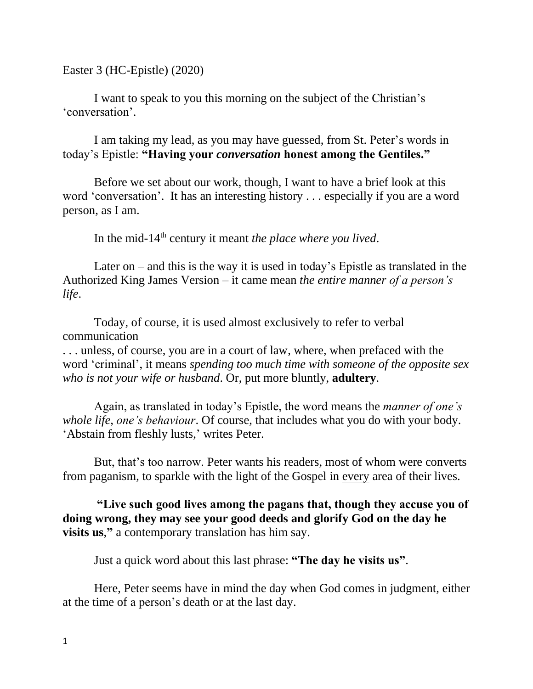Easter 3 (HC-Epistle) (2020)

I want to speak to you this morning on the subject of the Christian's 'conversation'.

I am taking my lead, as you may have guessed, from St. Peter's words in today's Epistle: **"Having your** *conversation* **honest among the Gentiles."**

Before we set about our work, though, I want to have a brief look at this word 'conversation'. It has an interesting history . . . especially if you are a word person, as I am.

In the mid-14th century it meant *the place where you lived*.

Later on – and this is the way it is used in today's Epistle as translated in the Authorized King James Version – it came mean *the entire manner of a person's life*.

Today, of course, it is used almost exclusively to refer to verbal communication

. . . unless, of course, you are in a court of law, where, when prefaced with the word 'criminal', it means *spending too much time with someone of the opposite sex who is not your wife or husband*. Or, put more bluntly, **adultery**.

Again, as translated in today's Epistle, the word means the *manner of one's whole life*, *one's behaviour*. Of course, that includes what you do with your body. 'Abstain from fleshly lusts,' writes Peter.

But, that's too narrow. Peter wants his readers, most of whom were converts from paganism, to sparkle with the light of the Gospel in every area of their lives.

**"Live such good lives among the pagans that, though they accuse you of doing wrong, they may see your good deeds and glorify God on the day he visits us**,**"** a contemporary translation has him say.

Just a quick word about this last phrase: **"The day he visits us"**.

Here, Peter seems have in mind the day when God comes in judgment, either at the time of a person's death or at the last day.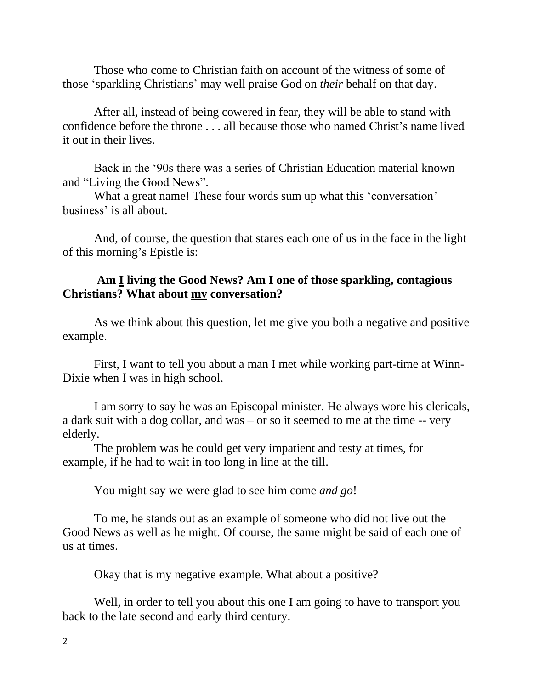Those who come to Christian faith on account of the witness of some of those 'sparkling Christians' may well praise God on *their* behalf on that day.

After all, instead of being cowered in fear, they will be able to stand with confidence before the throne . . . all because those who named Christ's name lived it out in their lives.

Back in the '90s there was a series of Christian Education material known and "Living the Good News".

What a great name! These four words sum up what this 'conversation' business' is all about.

And, of course, the question that stares each one of us in the face in the light of this morning's Epistle is:

## **Am I living the Good News? Am I one of those sparkling, contagious Christians? What about my conversation?**

As we think about this question, let me give you both a negative and positive example.

First, I want to tell you about a man I met while working part-time at Winn-Dixie when I was in high school.

I am sorry to say he was an Episcopal minister. He always wore his clericals, a dark suit with a dog collar, and was – or so it seemed to me at the time -- very elderly.

The problem was he could get very impatient and testy at times, for example, if he had to wait in too long in line at the till.

You might say we were glad to see him come *and go*!

To me, he stands out as an example of someone who did not live out the Good News as well as he might. Of course, the same might be said of each one of us at times.

Okay that is my negative example. What about a positive?

Well, in order to tell you about this one I am going to have to transport you back to the late second and early third century.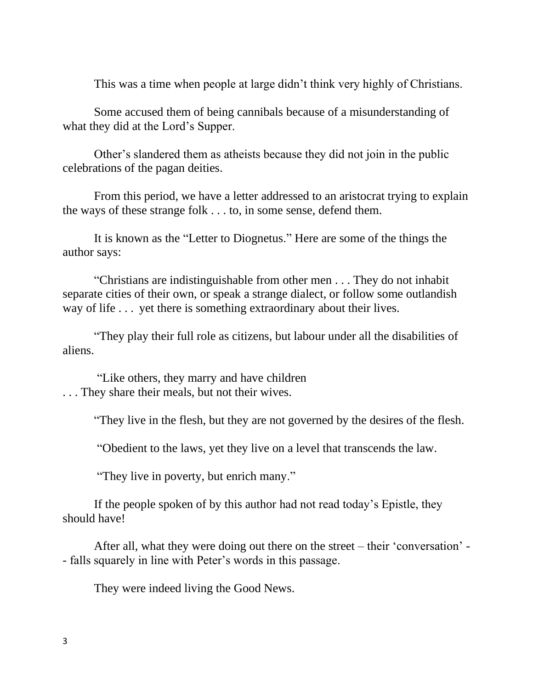This was a time when people at large didn't think very highly of Christians.

Some accused them of being cannibals because of a misunderstanding of what they did at the Lord's Supper.

Other's slandered them as atheists because they did not join in the public celebrations of the pagan deities.

From this period, we have a letter addressed to an aristocrat trying to explain the ways of these strange folk . . . to, in some sense, defend them.

It is known as the "Letter to Diognetus." Here are some of the things the author says:

"Christians are indistinguishable from other men . . . They do not inhabit separate cities of their own, or speak a strange dialect, or follow some outlandish way of life . . . yet there is something extraordinary about their lives.

"They play their full role as citizens, but labour under all the disabilities of aliens.

"Like others, they marry and have children . . . They share their meals, but not their wives.

"They live in the flesh, but they are not governed by the desires of the flesh.

"Obedient to the laws, yet they live on a level that transcends the law.

"They live in poverty, but enrich many."

If the people spoken of by this author had not read today's Epistle, they should have!

After all, what they were doing out there on the street – their 'conversation' - - falls squarely in line with Peter's words in this passage.

They were indeed living the Good News.